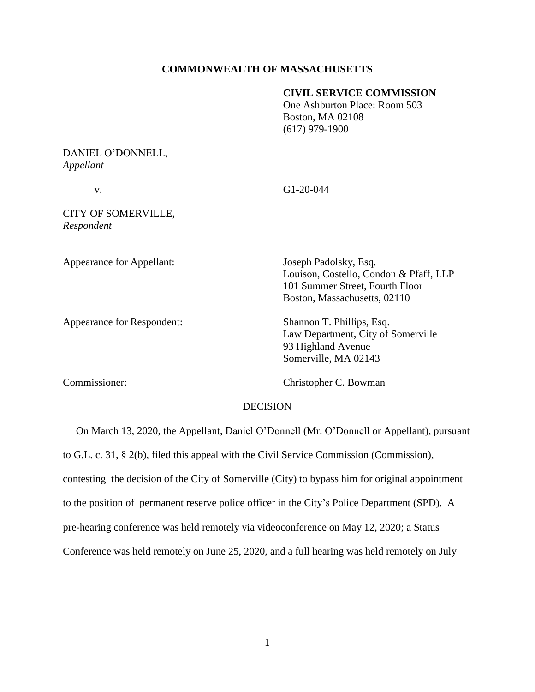## **COMMONWEALTH OF MASSACHUSETTS**

### **CIVIL SERVICE COMMISSION**

One Ashburton Place: Room 503 Boston, MA 02108 (617) 979-1900

# DANIEL O'DONNELL, *Appellant*

v. G1-20-044

## CITY OF SOMERVILLE, *Respondent*

Appearance for Appellant: Joseph Padolsky, Esq.

Appearance for Respondent: Shannon T. Phillips, Esq.

Law Department, City of Somerville 93 Highland Avenue Somerville, MA 02143

101 Summer Street, Fourth Floor Boston, Massachusetts, 02110

Louison, Costello, Condon & Pfaff, LLP

Commissioner: Christopher C. Bowman

### DECISION

 On March 13, 2020, the Appellant, Daniel O'Donnell (Mr. O'Donnell or Appellant), pursuant to G.L. c. 31, § 2(b), filed this appeal with the Civil Service Commission (Commission), contesting the decision of the City of Somerville (City) to bypass him for original appointment to the position of permanent reserve police officer in the City's Police Department (SPD). A pre-hearing conference was held remotely via videoconference on May 12, 2020; a Status Conference was held remotely on June 25, 2020, and a full hearing was held remotely on July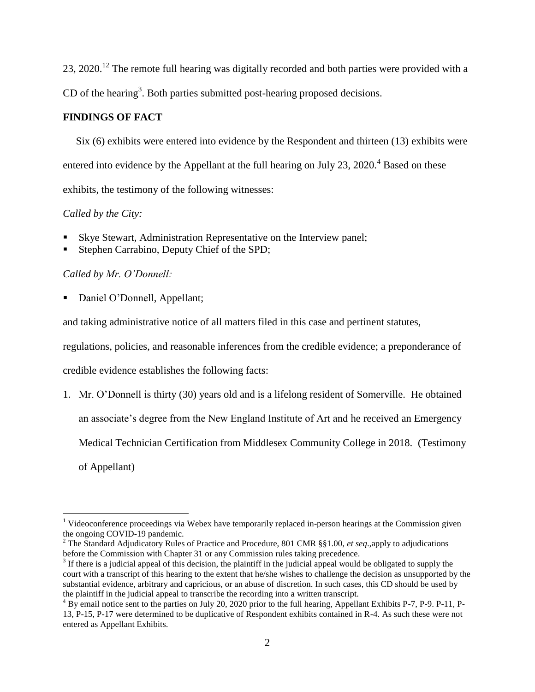23, 2020.<sup>12</sup> The remote full hearing was digitally recorded and both parties were provided with a CD of the hearing<sup>3</sup>. Both parties submitted post-hearing proposed decisions.

## **FINDINGS OF FACT**

 Six (6) exhibits were entered into evidence by the Respondent and thirteen (13) exhibits were entered into evidence by the Appellant at the full hearing on July 23, 2020.<sup>4</sup> Based on these exhibits, the testimony of the following witnesses:

## *Called by the City:*

- Skye Stewart, Administration Representative on the Interview panel;
- Stephen Carrabino, Deputy Chief of the SPD;

## *Called by Mr. O'Donnell:*

Daniel O'Donnell, Appellant;

and taking administrative notice of all matters filed in this case and pertinent statutes,

regulations, policies, and reasonable inferences from the credible evidence; a preponderance of

credible evidence establishes the following facts:

1. Mr. O'Donnell is thirty (30) years old and is a lifelong resident of Somerville. He obtained

an associate's degree from the New England Institute of Art and he received an Emergency

Medical Technician Certification from Middlesex Community College in 2018. (Testimony

of Appellant)

 $\overline{a}$ 

<sup>&</sup>lt;sup>1</sup> Videoconference proceedings via Webex have temporarily replaced in-person hearings at the Commission given the ongoing COVID-19 pandemic.

<sup>2</sup> The Standard Adjudicatory Rules of Practice and Procedure, 801 CMR §§1.00, *et seq*.,apply to adjudications before the Commission with Chapter 31 or any Commission rules taking precedence.

 $3$  If there is a judicial appeal of this decision, the plaintiff in the judicial appeal would be obligated to supply the court with a transcript of this hearing to the extent that he/she wishes to challenge the decision as unsupported by the substantial evidence, arbitrary and capricious, or an abuse of discretion. In such cases, this CD should be used by the plaintiff in the judicial appeal to transcribe the recording into a written transcript.

<sup>&</sup>lt;sup>4</sup> By email notice sent to the parties on July 20, 2020 prior to the full hearing, Appellant Exhibits P-7, P-9. P-11, P-13, P-15, P-17 were determined to be duplicative of Respondent exhibits contained in R-4. As such these were not entered as Appellant Exhibits.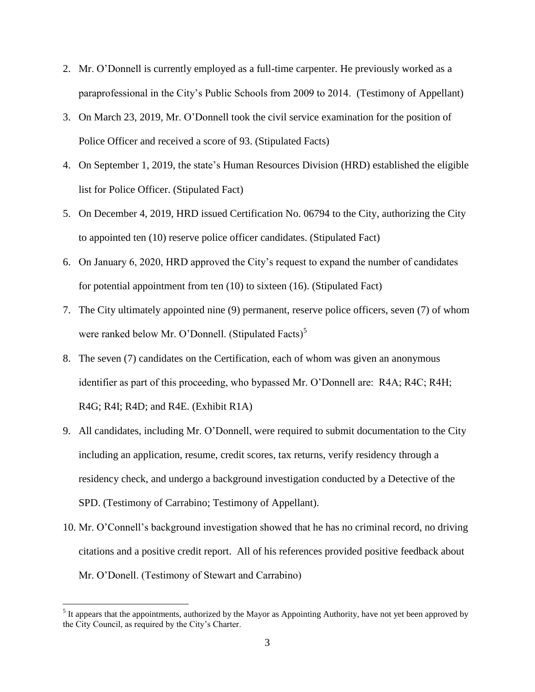- 2. Mr. O'Donnell is currently employed as a full-time carpenter. He previously worked as a paraprofessional in the City's Public Schools from 2009 to 2014. (Testimony of Appellant)
- 3. On March 23, 2019, Mr. O'Donnell took the civil service examination for the position of Police Officer and received a score of 93. (Stipulated Facts)
- 4. On September 1, 2019, the state's Human Resources Division (HRD) established the eligible list for Police Officer. (Stipulated Fact)
- 5. On December 4, 2019, HRD issued Certification No. 06794 to the City, authorizing the City to appointed ten (10) reserve police officer candidates. (Stipulated Fact)
- 6. On January 6, 2020, HRD approved the City's request to expand the number of candidates for potential appointment from ten (10) to sixteen (16). (Stipulated Fact)
- 7. The City ultimately appointed nine (9) permanent, reserve police officers, seven (7) of whom were ranked below Mr. O'Donnell. (Stipulated Facts)<sup>5</sup>
- 8. The seven (7) candidates on the Certification, each of whom was given an anonymous identifier as part of this proceeding, who bypassed Mr. O'Donnell are: R4A; R4C; R4H; R4G; R4I; R4D; and R4E. (Exhibit R1A)
- 9. All candidates, including Mr. O'Donnell, were required to submit documentation to the City including an application, resume, credit scores, tax returns, verify residency through a residency check, and undergo a background investigation conducted by a Detective of the SPD. (Testimony of Carrabino; Testimony of Appellant).
- 10. Mr. O'Connell's background investigation showed that he has no criminal record, no driving citations and a positive credit report. All of his references provided positive feedback about Mr. O'Donell. (Testimony of Stewart and Carrabino)

<sup>&</sup>lt;sup>5</sup> It appears that the appointments, authorized by the Mayor as Appointing Authority, have not yet been approved by the City Council, as required by the City's Charter.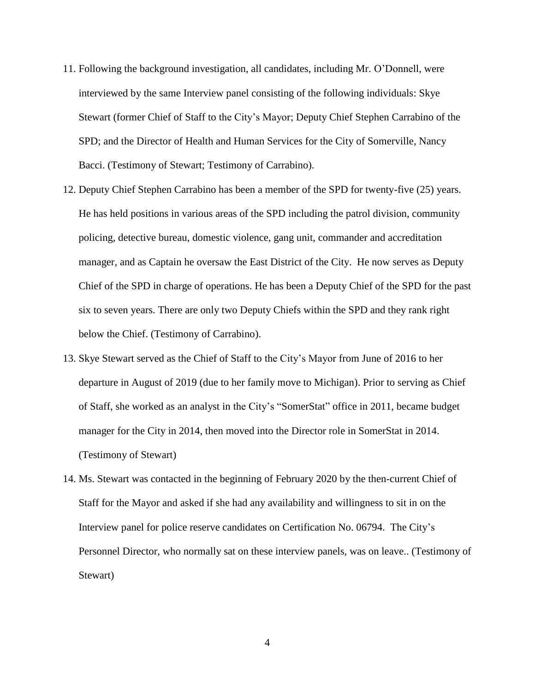- 11. Following the background investigation, all candidates, including Mr. O'Donnell, were interviewed by the same Interview panel consisting of the following individuals: Skye Stewart (former Chief of Staff to the City's Mayor; Deputy Chief Stephen Carrabino of the SPD; and the Director of Health and Human Services for the City of Somerville, Nancy Bacci. (Testimony of Stewart; Testimony of Carrabino).
- 12. Deputy Chief Stephen Carrabino has been a member of the SPD for twenty-five (25) years. He has held positions in various areas of the SPD including the patrol division, community policing, detective bureau, domestic violence, gang unit, commander and accreditation manager, and as Captain he oversaw the East District of the City. He now serves as Deputy Chief of the SPD in charge of operations. He has been a Deputy Chief of the SPD for the past six to seven years. There are only two Deputy Chiefs within the SPD and they rank right below the Chief. (Testimony of Carrabino).
- 13. Skye Stewart served as the Chief of Staff to the City's Mayor from June of 2016 to her departure in August of 2019 (due to her family move to Michigan). Prior to serving as Chief of Staff, she worked as an analyst in the City's "SomerStat" office in 2011, became budget manager for the City in 2014, then moved into the Director role in SomerStat in 2014. (Testimony of Stewart)
- 14. Ms. Stewart was contacted in the beginning of February 2020 by the then-current Chief of Staff for the Mayor and asked if she had any availability and willingness to sit in on the Interview panel for police reserve candidates on Certification No. 06794. The City's Personnel Director, who normally sat on these interview panels, was on leave.. (Testimony of Stewart)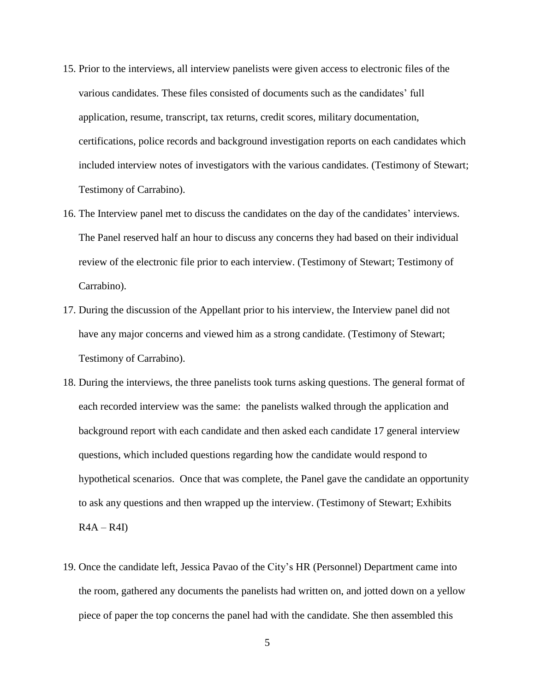- 15. Prior to the interviews, all interview panelists were given access to electronic files of the various candidates. These files consisted of documents such as the candidates' full application, resume, transcript, tax returns, credit scores, military documentation, certifications, police records and background investigation reports on each candidates which included interview notes of investigators with the various candidates. (Testimony of Stewart; Testimony of Carrabino).
- 16. The Interview panel met to discuss the candidates on the day of the candidates' interviews. The Panel reserved half an hour to discuss any concerns they had based on their individual review of the electronic file prior to each interview. (Testimony of Stewart; Testimony of Carrabino).
- 17. During the discussion of the Appellant prior to his interview, the Interview panel did not have any major concerns and viewed him as a strong candidate. (Testimony of Stewart; Testimony of Carrabino).
- 18. During the interviews, the three panelists took turns asking questions. The general format of each recorded interview was the same: the panelists walked through the application and background report with each candidate and then asked each candidate 17 general interview questions, which included questions regarding how the candidate would respond to hypothetical scenarios. Once that was complete, the Panel gave the candidate an opportunity to ask any questions and then wrapped up the interview. (Testimony of Stewart; Exhibits  $R4A - R4I$
- 19. Once the candidate left, Jessica Pavao of the City's HR (Personnel) Department came into the room, gathered any documents the panelists had written on, and jotted down on a yellow piece of paper the top concerns the panel had with the candidate. She then assembled this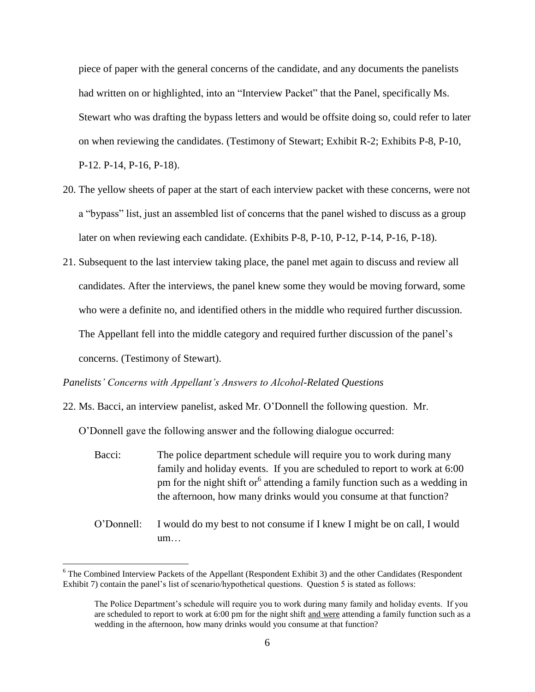piece of paper with the general concerns of the candidate, and any documents the panelists had written on or highlighted, into an "Interview Packet" that the Panel, specifically Ms. Stewart who was drafting the bypass letters and would be offsite doing so, could refer to later on when reviewing the candidates. (Testimony of Stewart; Exhibit R-2; Exhibits P-8, P-10,

P-12. P-14, P-16, P-18).

 $\overline{a}$ 

- 20. The yellow sheets of paper at the start of each interview packet with these concerns, were not a "bypass" list, just an assembled list of concerns that the panel wished to discuss as a group later on when reviewing each candidate. (Exhibits P-8, P-10, P-12, P-14, P-16, P-18).
- 21. Subsequent to the last interview taking place, the panel met again to discuss and review all candidates. After the interviews, the panel knew some they would be moving forward, some who were a definite no, and identified others in the middle who required further discussion. The Appellant fell into the middle category and required further discussion of the panel's concerns. (Testimony of Stewart).

### *Panelists' Concerns with Appellant's Answers to Alcohol-Related Questions*

22. Ms. Bacci, an interview panelist, asked Mr. O'Donnell the following question. Mr.

O'Donnell gave the following answer and the following dialogue occurred:

- Bacci: The police department schedule will require you to work during many family and holiday events. If you are scheduled to report to work at 6:00 pm for the night shift or<sup>6</sup> attending a family function such as a wedding in the afternoon, how many drinks would you consume at that function?
- O'Donnell: I would do my best to not consume if I knew I might be on call, I would um…

<sup>&</sup>lt;sup>6</sup> The Combined Interview Packets of the Appellant (Respondent Exhibit 3) and the other Candidates (Respondent Exhibit 7) contain the panel's list of scenario/hypothetical questions. Question 5 is stated as follows:

The Police Department's schedule will require you to work during many family and holiday events. If you are scheduled to report to work at 6:00 pm for the night shift and were attending a family function such as a wedding in the afternoon, how many drinks would you consume at that function?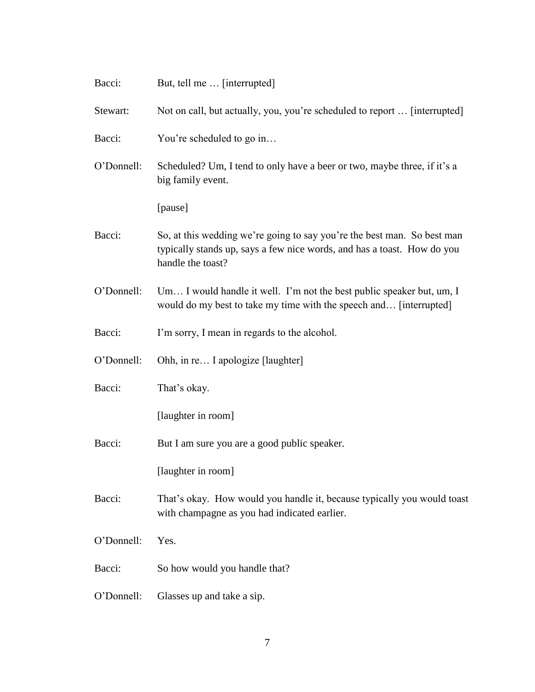| Bacci:     | But, tell me  [interrupted]                                                                                                                                             |
|------------|-------------------------------------------------------------------------------------------------------------------------------------------------------------------------|
| Stewart:   | Not on call, but actually, you, you're scheduled to report  [interrupted]                                                                                               |
| Bacci:     | You're scheduled to go in                                                                                                                                               |
| O'Donnell: | Scheduled? Um, I tend to only have a beer or two, maybe three, if it's a<br>big family event.                                                                           |
|            | [pause]                                                                                                                                                                 |
| Bacci:     | So, at this wedding we're going to say you're the best man. So best man<br>typically stands up, says a few nice words, and has a toast. How do you<br>handle the toast? |
| O'Donnell: | Um I would handle it well. I'm not the best public speaker but, um, I<br>would do my best to take my time with the speech and [interrupted]                             |
| Bacci:     | I'm sorry, I mean in regards to the alcohol.                                                                                                                            |
| O'Donnell: | Ohh, in re I apologize [laughter]                                                                                                                                       |
| Bacci:     | That's okay.                                                                                                                                                            |
|            | [laughter in room]                                                                                                                                                      |
| Bacci:     | But I am sure you are a good public speaker.                                                                                                                            |
|            | [laughter in room]                                                                                                                                                      |
| Bacci:     | That's okay. How would you handle it, because typically you would toast<br>with champagne as you had indicated earlier.                                                 |
| O'Donnell: | Yes.                                                                                                                                                                    |
| Bacci:     | So how would you handle that?                                                                                                                                           |
| O'Donnell: | Glasses up and take a sip.                                                                                                                                              |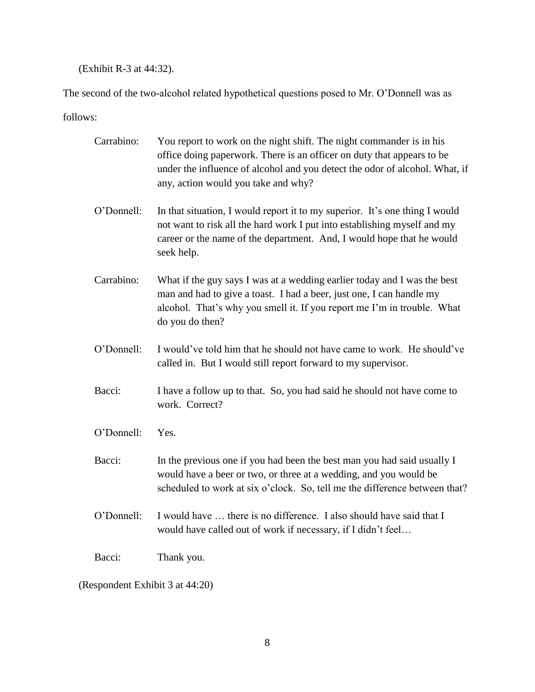(Exhibit R-3 at 44:32).

The second of the two-alcohol related hypothetical questions posed to Mr. O'Donnell was as

follows:

| Carrabino: | You report to work on the night shift. The night commander is in his<br>office doing paperwork. There is an officer on duty that appears to be<br>under the influence of alcohol and you detect the odor of alcohol. What, if<br>any, action would you take and why? |
|------------|----------------------------------------------------------------------------------------------------------------------------------------------------------------------------------------------------------------------------------------------------------------------|
| O'Donnell: | In that situation, I would report it to my superior. It's one thing I would<br>not want to risk all the hard work I put into establishing myself and my<br>career or the name of the department. And, I would hope that he would<br>seek help.                       |
| Carrabino: | What if the guy says I was at a wedding earlier today and I was the best<br>man and had to give a toast. I had a beer, just one, I can handle my<br>alcohol. That's why you smell it. If you report me I'm in trouble. What<br>do you do then?                       |
| O'Donnell: | I would've told him that he should not have came to work. He should've<br>called in. But I would still report forward to my supervisor.                                                                                                                              |
| Bacci:     | I have a follow up to that. So, you had said he should not have come to<br>work. Correct?                                                                                                                                                                            |
| O'Donnell: | Yes.                                                                                                                                                                                                                                                                 |
| Bacci:     | In the previous one if you had been the best man you had said usually I<br>would have a beer or two, or three at a wedding, and you would be<br>scheduled to work at six o'clock. So, tell me the difference between that?                                           |
| O'Donnell: | I would have  there is no difference. I also should have said that I<br>would have called out of work if necessary, if I didn't feel                                                                                                                                 |
| Bacci:     | Thank you.                                                                                                                                                                                                                                                           |

(Respondent Exhibit 3 at 44:20)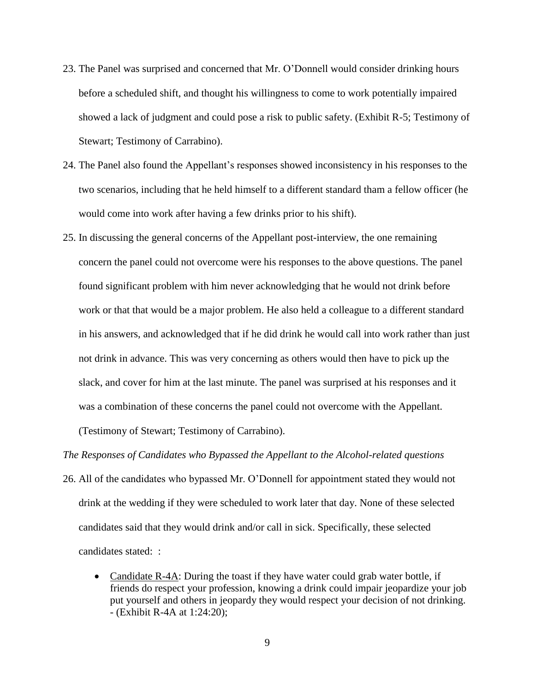- 23. The Panel was surprised and concerned that Mr. O'Donnell would consider drinking hours before a scheduled shift, and thought his willingness to come to work potentially impaired showed a lack of judgment and could pose a risk to public safety. (Exhibit R-5; Testimony of Stewart; Testimony of Carrabino).
- 24. The Panel also found the Appellant's responses showed inconsistency in his responses to the two scenarios, including that he held himself to a different standard tham a fellow officer (he would come into work after having a few drinks prior to his shift).
- 25. In discussing the general concerns of the Appellant post-interview, the one remaining concern the panel could not overcome were his responses to the above questions. The panel found significant problem with him never acknowledging that he would not drink before work or that that would be a major problem. He also held a colleague to a different standard in his answers, and acknowledged that if he did drink he would call into work rather than just not drink in advance. This was very concerning as others would then have to pick up the slack, and cover for him at the last minute. The panel was surprised at his responses and it was a combination of these concerns the panel could not overcome with the Appellant. (Testimony of Stewart; Testimony of Carrabino).

*The Responses of Candidates who Bypassed the Appellant to the Alcohol-related questions*

- 26. All of the candidates who bypassed Mr. O'Donnell for appointment stated they would not drink at the wedding if they were scheduled to work later that day. None of these selected candidates said that they would drink and/or call in sick. Specifically, these selected candidates stated: :
	- Candidate R-4A: During the toast if they have water could grab water bottle, if friends do respect your profession, knowing a drink could impair jeopardize your job put yourself and others in jeopardy they would respect your decision of not drinking. - (Exhibit R-4A at 1:24:20);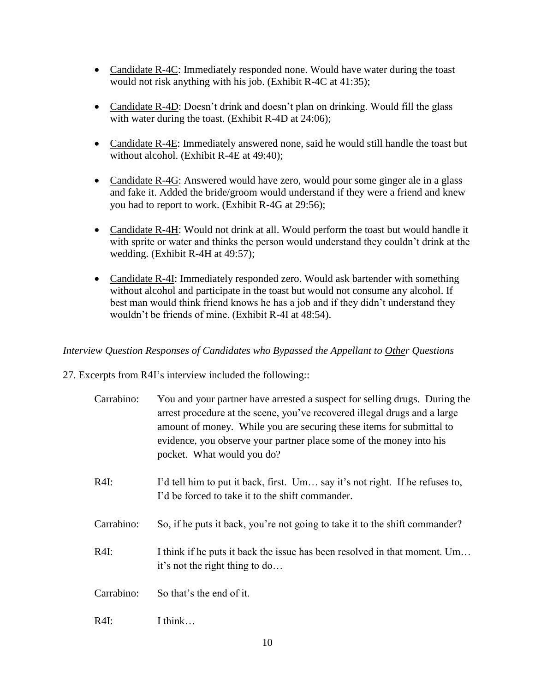- Candidate R-4C: Immediately responded none. Would have water during the toast would not risk anything with his job. (Exhibit R-4C at 41:35);
- Candidate R-4D: Doesn't drink and doesn't plan on drinking. Would fill the glass with water during the toast. (Exhibit R-4D at 24:06);
- Candidate R-4E: Immediately answered none, said he would still handle the toast but without alcohol. (Exhibit R-4E at 49:40);
- Candidate R-4G: Answered would have zero, would pour some ginger ale in a glass and fake it. Added the bride/groom would understand if they were a friend and knew you had to report to work. (Exhibit R-4G at 29:56);
- Candidate R-4H: Would not drink at all. Would perform the toast but would handle it with sprite or water and thinks the person would understand they couldn't drink at the wedding. (Exhibit R-4H at 49:57);
- Candidate R-4I: Immediately responded zero. Would ask bartender with something without alcohol and participate in the toast but would not consume any alcohol. If best man would think friend knows he has a job and if they didn't understand they wouldn't be friends of mine. (Exhibit R-4I at 48:54).

*Interview Question Responses of Candidates who Bypassed the Appellant to Other Questions*

27. Excerpts from R4I's interview included the following::

| Carrabino: | You and your partner have arrested a suspect for selling drugs. During the<br>arrest procedure at the scene, you've recovered illegal drugs and a large<br>amount of money. While you are securing these items for submittal to<br>evidence, you observe your partner place some of the money into his<br>pocket. What would you do? |
|------------|--------------------------------------------------------------------------------------------------------------------------------------------------------------------------------------------------------------------------------------------------------------------------------------------------------------------------------------|
| R4I:       | I'd tell him to put it back, first. Um say it's not right. If he refuses to,<br>I'd be forced to take it to the shift commander.                                                                                                                                                                                                     |
| Carrabino: | So, if he puts it back, you're not going to take it to the shift commander?                                                                                                                                                                                                                                                          |
| R4I:       | I think if he puts it back the issue has been resolved in that moment. Um<br>it's not the right thing to do                                                                                                                                                                                                                          |
| Carrabino: | So that's the end of it.                                                                                                                                                                                                                                                                                                             |
| R4I:       | I think                                                                                                                                                                                                                                                                                                                              |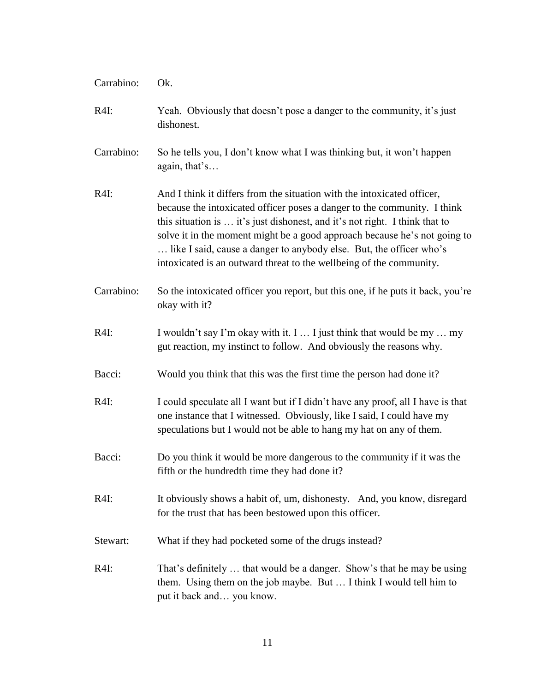| Carrabino: | Ok.                                                                                                                                                                                                                                                                                                                                                                                                                                                           |
|------------|---------------------------------------------------------------------------------------------------------------------------------------------------------------------------------------------------------------------------------------------------------------------------------------------------------------------------------------------------------------------------------------------------------------------------------------------------------------|
| R4I:       | Yeah. Obviously that doesn't pose a danger to the community, it's just<br>dishonest.                                                                                                                                                                                                                                                                                                                                                                          |
| Carrabino: | So he tells you, I don't know what I was thinking but, it won't happen<br>again, that's                                                                                                                                                                                                                                                                                                                                                                       |
| R4I:       | And I think it differs from the situation with the intoxicated officer,<br>because the intoxicated officer poses a danger to the community. I think<br>this situation is  it's just dishonest, and it's not right. I think that to<br>solve it in the moment might be a good approach because he's not going to<br>like I said, cause a danger to anybody else. But, the officer who's<br>intoxicated is an outward threat to the wellbeing of the community. |
| Carrabino: | So the intoxicated officer you report, but this one, if he puts it back, you're<br>okay with it?                                                                                                                                                                                                                                                                                                                                                              |
| R4I:       | I wouldn't say I'm okay with it. I  I just think that would be my  my<br>gut reaction, my instinct to follow. And obviously the reasons why.                                                                                                                                                                                                                                                                                                                  |
| Bacci:     | Would you think that this was the first time the person had done it?                                                                                                                                                                                                                                                                                                                                                                                          |
| R4I:       | I could speculate all I want but if I didn't have any proof, all I have is that<br>one instance that I witnessed. Obviously, like I said, I could have my<br>speculations but I would not be able to hang my hat on any of them.                                                                                                                                                                                                                              |
| Bacci:     | Do you think it would be more dangerous to the community if it was the<br>fifth or the hundredth time they had done it?                                                                                                                                                                                                                                                                                                                                       |
| R4I:       | It obviously shows a habit of, um, dishonesty. And, you know, disregard<br>for the trust that has been bestowed upon this officer.                                                                                                                                                                                                                                                                                                                            |
| Stewart:   | What if they had pocketed some of the drugs instead?                                                                                                                                                                                                                                                                                                                                                                                                          |
| R4I:       | That's definitely  that would be a danger. Show's that he may be using<br>them. Using them on the job maybe. But  I think I would tell him to<br>put it back and you know.                                                                                                                                                                                                                                                                                    |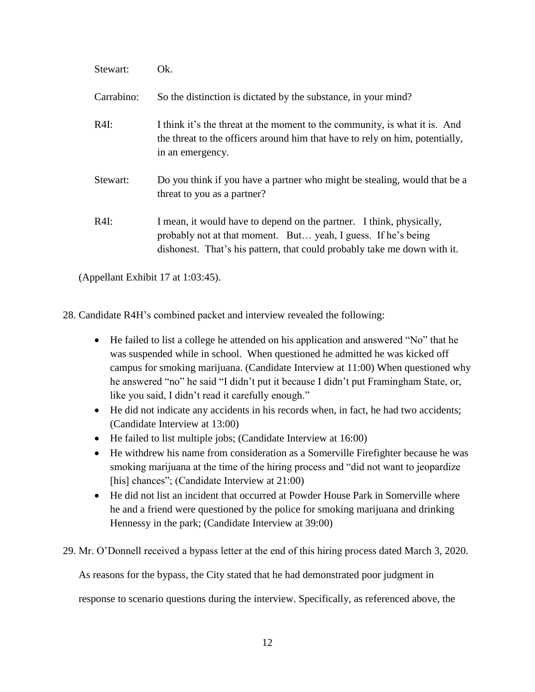| Stewart:   | Ok.                                                                                                                                                                                                               |
|------------|-------------------------------------------------------------------------------------------------------------------------------------------------------------------------------------------------------------------|
| Carrabino: | So the distinction is dictated by the substance, in your mind?                                                                                                                                                    |
| R4I:       | I think it's the threat at the moment to the community, is what it is. And<br>the threat to the officers around him that have to rely on him, potentially,<br>in an emergency.                                    |
| Stewart:   | Do you think if you have a partner who might be stealing, would that be a<br>threat to you as a partner?                                                                                                          |
| R4I:       | I mean, it would have to depend on the partner. I think, physically,<br>probably not at that moment. But yeah, I guess. If he's being<br>dishonest. That's his pattern, that could probably take me down with it. |

(Appellant Exhibit 17 at 1:03:45).

28. Candidate R4H's combined packet and interview revealed the following:

- He failed to list a college he attended on his application and answered "No" that he was suspended while in school. When questioned he admitted he was kicked off campus for smoking marijuana. (Candidate Interview at 11:00) When questioned why he answered "no" he said "I didn't put it because I didn't put Framingham State, or, like you said, I didn't read it carefully enough."
- He did not indicate any accidents in his records when, in fact, he had two accidents; (Candidate Interview at 13:00)
- He failed to list multiple jobs; (Candidate Interview at 16:00)
- He withdrew his name from consideration as a Somerville Firefighter because he was smoking marijuana at the time of the hiring process and "did not want to jeopardize [his] chances"; (Candidate Interview at 21:00)
- He did not list an incident that occurred at Powder House Park in Somerville where he and a friend were questioned by the police for smoking marijuana and drinking Hennessy in the park; (Candidate Interview at 39:00)
- 29. Mr. O'Donnell received a bypass letter at the end of this hiring process dated March 3, 2020.

As reasons for the bypass, the City stated that he had demonstrated poor judgment in

response to scenario questions during the interview. Specifically, as referenced above, the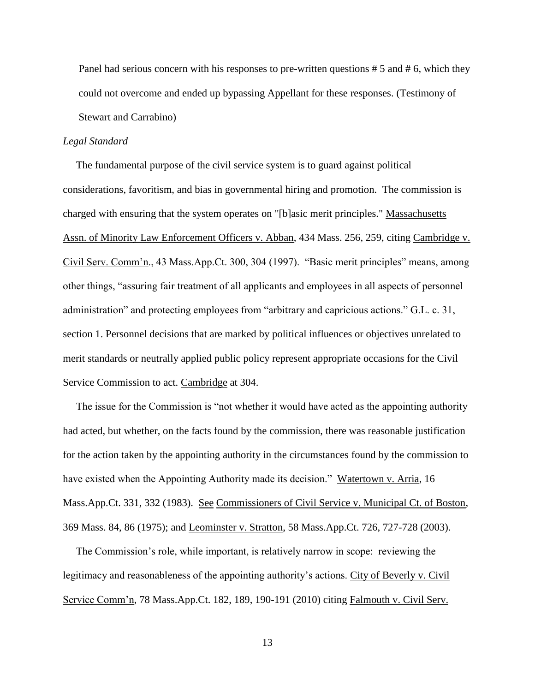Panel had serious concern with his responses to pre-written questions # 5 and # 6, which they could not overcome and ended up bypassing Appellant for these responses. (Testimony of Stewart and Carrabino)

### *Legal Standard*

 The fundamental purpose of the civil service system is to guard against political considerations, favoritism, and bias in governmental hiring and promotion. The commission is charged with ensuring that the system operates on "[b]asic merit principles." Massachusetts Assn. of Minority Law Enforcement Officers v. Abban, 434 Mass. 256, 259, citing Cambridge v. Civil Serv. Comm'n., 43 Mass.App.Ct. 300, 304 (1997). "Basic merit principles" means, among other things, "assuring fair treatment of all applicants and employees in all aspects of personnel administration" and protecting employees from "arbitrary and capricious actions." G.L. c. 31, section 1. Personnel decisions that are marked by political influences or objectives unrelated to merit standards or neutrally applied public policy represent appropriate occasions for the Civil Service Commission to act. Cambridge at 304.

 The issue for the Commission is "not whether it would have acted as the appointing authority had acted, but whether, on the facts found by the commission, there was reasonable justification for the action taken by the appointing authority in the circumstances found by the commission to have existed when the Appointing Authority made its decision." Watertown v. Arria, 16 Mass.App.Ct. 331, 332 (1983). See Commissioners of Civil Service v. Municipal Ct. of Boston, 369 Mass. 84, 86 (1975); and Leominster v. Stratton, 58 Mass.App.Ct. 726, 727-728 (2003).

 The Commission's role, while important, is relatively narrow in scope: reviewing the legitimacy and reasonableness of the appointing authority's actions. City of Beverly v. Civil Service Comm'n, 78 Mass.App.Ct. 182, 189, 190-191 (2010) citing Falmouth v. Civil Serv.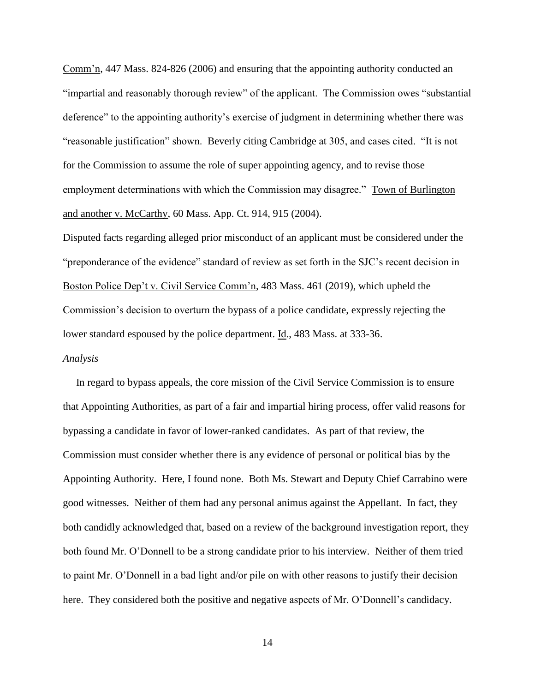Comm'n, 447 Mass. 824-826 (2006) and ensuring that the appointing authority conducted an "impartial and reasonably thorough review" of the applicant. The Commission owes "substantial deference" to the appointing authority's exercise of judgment in determining whether there was "reasonable justification" shown. Beverly citing Cambridge at 305, and cases cited. "It is not for the Commission to assume the role of super appointing agency, and to revise those employment determinations with which the Commission may disagree." Town of Burlington and another v. McCarthy, 60 Mass. App. Ct. 914, 915 (2004).

Disputed facts regarding alleged prior misconduct of an applicant must be considered under the "preponderance of the evidence" standard of review as set forth in the SJC's recent decision in Boston Police Dep't v. Civil Service Comm'n, 483 Mass. 461 (2019), which upheld the Commission's decision to overturn the bypass of a police candidate, expressly rejecting the lower standard espoused by the police department. Id., 483 Mass. at 333-36.

#### *Analysis*

 In regard to bypass appeals, the core mission of the Civil Service Commission is to ensure that Appointing Authorities, as part of a fair and impartial hiring process, offer valid reasons for bypassing a candidate in favor of lower-ranked candidates. As part of that review, the Commission must consider whether there is any evidence of personal or political bias by the Appointing Authority. Here, I found none. Both Ms. Stewart and Deputy Chief Carrabino were good witnesses. Neither of them had any personal animus against the Appellant. In fact, they both candidly acknowledged that, based on a review of the background investigation report, they both found Mr. O'Donnell to be a strong candidate prior to his interview. Neither of them tried to paint Mr. O'Donnell in a bad light and/or pile on with other reasons to justify their decision here. They considered both the positive and negative aspects of Mr. O'Donnell's candidacy.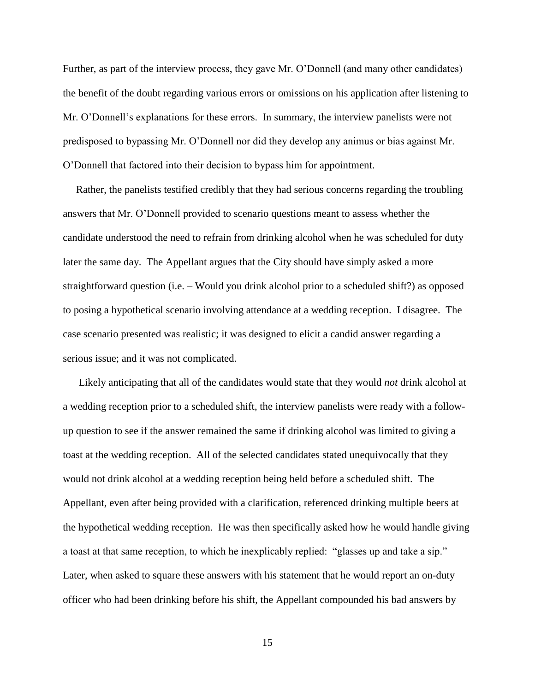Further, as part of the interview process, they gave Mr. O'Donnell (and many other candidates) the benefit of the doubt regarding various errors or omissions on his application after listening to Mr. O'Donnell's explanations for these errors. In summary, the interview panelists were not predisposed to bypassing Mr. O'Donnell nor did they develop any animus or bias against Mr. O'Donnell that factored into their decision to bypass him for appointment.

 Rather, the panelists testified credibly that they had serious concerns regarding the troubling answers that Mr. O'Donnell provided to scenario questions meant to assess whether the candidate understood the need to refrain from drinking alcohol when he was scheduled for duty later the same day. The Appellant argues that the City should have simply asked a more straightforward question (i.e. – Would you drink alcohol prior to a scheduled shift?) as opposed to posing a hypothetical scenario involving attendance at a wedding reception. I disagree. The case scenario presented was realistic; it was designed to elicit a candid answer regarding a serious issue; and it was not complicated.

 Likely anticipating that all of the candidates would state that they would *not* drink alcohol at a wedding reception prior to a scheduled shift, the interview panelists were ready with a followup question to see if the answer remained the same if drinking alcohol was limited to giving a toast at the wedding reception. All of the selected candidates stated unequivocally that they would not drink alcohol at a wedding reception being held before a scheduled shift. The Appellant, even after being provided with a clarification, referenced drinking multiple beers at the hypothetical wedding reception. He was then specifically asked how he would handle giving a toast at that same reception, to which he inexplicably replied: "glasses up and take a sip." Later, when asked to square these answers with his statement that he would report an on-duty officer who had been drinking before his shift, the Appellant compounded his bad answers by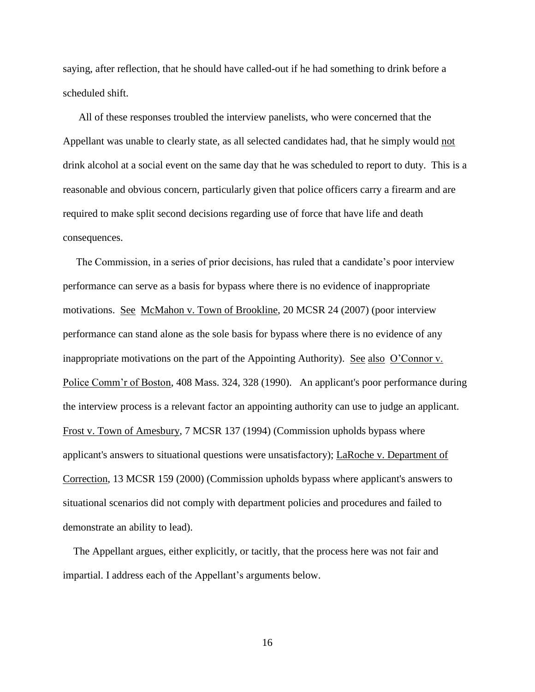saying, after reflection, that he should have called-out if he had something to drink before a scheduled shift.

 All of these responses troubled the interview panelists, who were concerned that the Appellant was unable to clearly state, as all selected candidates had, that he simply would not drink alcohol at a social event on the same day that he was scheduled to report to duty. This is a reasonable and obvious concern, particularly given that police officers carry a firearm and are required to make split second decisions regarding use of force that have life and death consequences.

 The Commission, in a series of prior decisions, has ruled that a candidate's poor interview performance can serve as a basis for bypass where there is no evidence of inappropriate motivations. See McMahon v. Town of Brookline, 20 MCSR 24 (2007) (poor interview performance can stand alone as the sole basis for bypass where there is no evidence of any inappropriate motivations on the part of the Appointing Authority). See also O'Connor v. Police Comm'r of Boston, 408 Mass. 324, 328 (1990). An applicant's poor performance during the interview process is a relevant factor an appointing authority can use to judge an applicant. Frost v. Town of Amesbury, 7 MCSR 137 (1994) (Commission upholds bypass where applicant's answers to situational questions were unsatisfactory); LaRoche v. Department of Correction, 13 MCSR 159 (2000) (Commission upholds bypass where applicant's answers to situational scenarios did not comply with department policies and procedures and failed to demonstrate an ability to lead).

 The Appellant argues, either explicitly, or tacitly, that the process here was not fair and impartial. I address each of the Appellant's arguments below.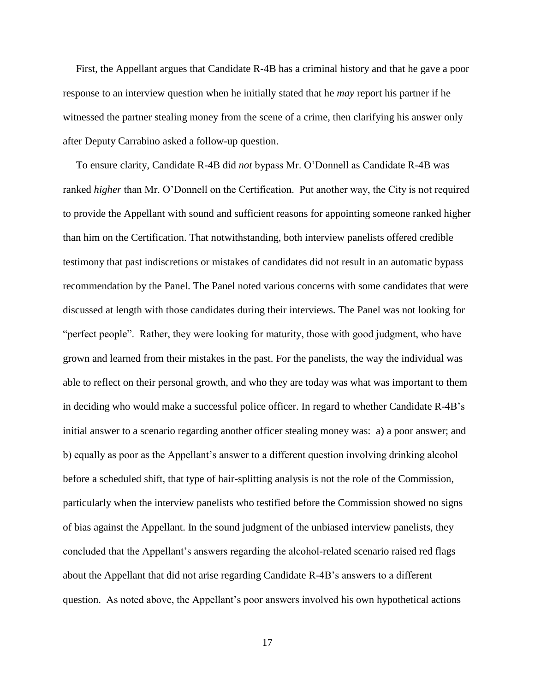First, the Appellant argues that Candidate R-4B has a criminal history and that he gave a poor response to an interview question when he initially stated that he *may* report his partner if he witnessed the partner stealing money from the scene of a crime, then clarifying his answer only after Deputy Carrabino asked a follow-up question.

 To ensure clarity, Candidate R-4B did *not* bypass Mr. O'Donnell as Candidate R-4B was ranked *higher* than Mr. O'Donnell on the Certification. Put another way, the City is not required to provide the Appellant with sound and sufficient reasons for appointing someone ranked higher than him on the Certification. That notwithstanding, both interview panelists offered credible testimony that past indiscretions or mistakes of candidates did not result in an automatic bypass recommendation by the Panel. The Panel noted various concerns with some candidates that were discussed at length with those candidates during their interviews. The Panel was not looking for "perfect people". Rather, they were looking for maturity, those with good judgment, who have grown and learned from their mistakes in the past. For the panelists, the way the individual was able to reflect on their personal growth, and who they are today was what was important to them in deciding who would make a successful police officer. In regard to whether Candidate R-4B's initial answer to a scenario regarding another officer stealing money was: a) a poor answer; and b) equally as poor as the Appellant's answer to a different question involving drinking alcohol before a scheduled shift, that type of hair-splitting analysis is not the role of the Commission, particularly when the interview panelists who testified before the Commission showed no signs of bias against the Appellant. In the sound judgment of the unbiased interview panelists, they concluded that the Appellant's answers regarding the alcohol-related scenario raised red flags about the Appellant that did not arise regarding Candidate R-4B's answers to a different question. As noted above, the Appellant's poor answers involved his own hypothetical actions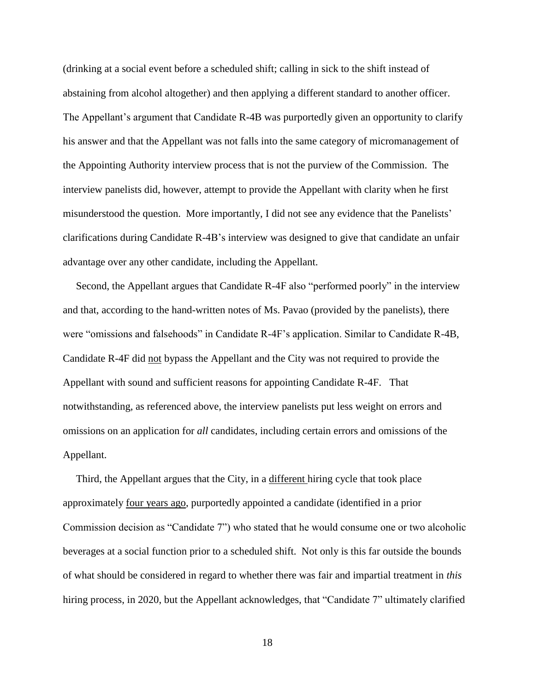(drinking at a social event before a scheduled shift; calling in sick to the shift instead of abstaining from alcohol altogether) and then applying a different standard to another officer. The Appellant's argument that Candidate R-4B was purportedly given an opportunity to clarify his answer and that the Appellant was not falls into the same category of micromanagement of the Appointing Authority interview process that is not the purview of the Commission. The interview panelists did, however, attempt to provide the Appellant with clarity when he first misunderstood the question. More importantly, I did not see any evidence that the Panelists' clarifications during Candidate R-4B's interview was designed to give that candidate an unfair advantage over any other candidate, including the Appellant.

 Second, the Appellant argues that Candidate R-4F also "performed poorly" in the interview and that, according to the hand-written notes of Ms. Pavao (provided by the panelists), there were "omissions and falsehoods" in Candidate R-4F's application. Similar to Candidate R-4B, Candidate R-4F did not bypass the Appellant and the City was not required to provide the Appellant with sound and sufficient reasons for appointing Candidate R-4F. That notwithstanding, as referenced above, the interview panelists put less weight on errors and omissions on an application for *all* candidates, including certain errors and omissions of the Appellant.

 Third, the Appellant argues that the City, in a different hiring cycle that took place approximately four years ago, purportedly appointed a candidate (identified in a prior Commission decision as "Candidate 7") who stated that he would consume one or two alcoholic beverages at a social function prior to a scheduled shift. Not only is this far outside the bounds of what should be considered in regard to whether there was fair and impartial treatment in *this*  hiring process, in 2020, but the Appellant acknowledges, that "Candidate 7" ultimately clarified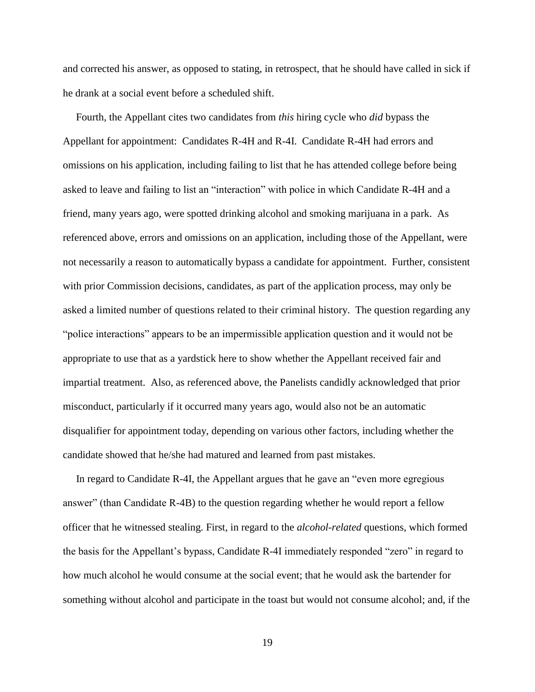and corrected his answer, as opposed to stating, in retrospect, that he should have called in sick if he drank at a social event before a scheduled shift.

 Fourth, the Appellant cites two candidates from *this* hiring cycle who *did* bypass the Appellant for appointment: Candidates R-4H and R-4I. Candidate R-4H had errors and omissions on his application, including failing to list that he has attended college before being asked to leave and failing to list an "interaction" with police in which Candidate R-4H and a friend, many years ago, were spotted drinking alcohol and smoking marijuana in a park. As referenced above, errors and omissions on an application, including those of the Appellant, were not necessarily a reason to automatically bypass a candidate for appointment. Further, consistent with prior Commission decisions, candidates, as part of the application process, may only be asked a limited number of questions related to their criminal history. The question regarding any "police interactions" appears to be an impermissible application question and it would not be appropriate to use that as a yardstick here to show whether the Appellant received fair and impartial treatment. Also, as referenced above, the Panelists candidly acknowledged that prior misconduct, particularly if it occurred many years ago, would also not be an automatic disqualifier for appointment today, depending on various other factors, including whether the candidate showed that he/she had matured and learned from past mistakes.

 In regard to Candidate R-4I, the Appellant argues that he gave an "even more egregious answer" (than Candidate R-4B) to the question regarding whether he would report a fellow officer that he witnessed stealing. First, in regard to the *alcohol-related* questions, which formed the basis for the Appellant's bypass, Candidate R-4I immediately responded "zero" in regard to how much alcohol he would consume at the social event; that he would ask the bartender for something without alcohol and participate in the toast but would not consume alcohol; and, if the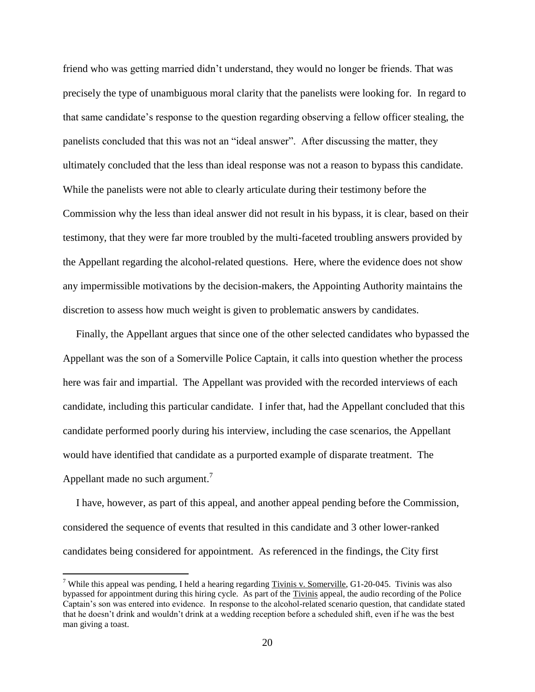friend who was getting married didn't understand, they would no longer be friends. That was precisely the type of unambiguous moral clarity that the panelists were looking for. In regard to that same candidate's response to the question regarding observing a fellow officer stealing, the panelists concluded that this was not an "ideal answer". After discussing the matter, they ultimately concluded that the less than ideal response was not a reason to bypass this candidate. While the panelists were not able to clearly articulate during their testimony before the Commission why the less than ideal answer did not result in his bypass, it is clear, based on their testimony, that they were far more troubled by the multi-faceted troubling answers provided by the Appellant regarding the alcohol-related questions. Here, where the evidence does not show any impermissible motivations by the decision-makers, the Appointing Authority maintains the discretion to assess how much weight is given to problematic answers by candidates.

 Finally, the Appellant argues that since one of the other selected candidates who bypassed the Appellant was the son of a Somerville Police Captain, it calls into question whether the process here was fair and impartial. The Appellant was provided with the recorded interviews of each candidate, including this particular candidate. I infer that, had the Appellant concluded that this candidate performed poorly during his interview, including the case scenarios, the Appellant would have identified that candidate as a purported example of disparate treatment. The Appellant made no such argument.<sup>7</sup>

 I have, however, as part of this appeal, and another appeal pending before the Commission, considered the sequence of events that resulted in this candidate and 3 other lower-ranked candidates being considered for appointment. As referenced in the findings, the City first

 $\overline{a}$ 

<sup>&</sup>lt;sup>7</sup> While this appeal was pending, I held a hearing regarding Tivinis v. Somerville, G1-20-045. Tivinis was also bypassed for appointment during this hiring cycle. As part of the Tivinis appeal, the audio recording of the Police Captain's son was entered into evidence. In response to the alcohol-related scenario question, that candidate stated that he doesn't drink and wouldn't drink at a wedding reception before a scheduled shift, even if he was the best man giving a toast.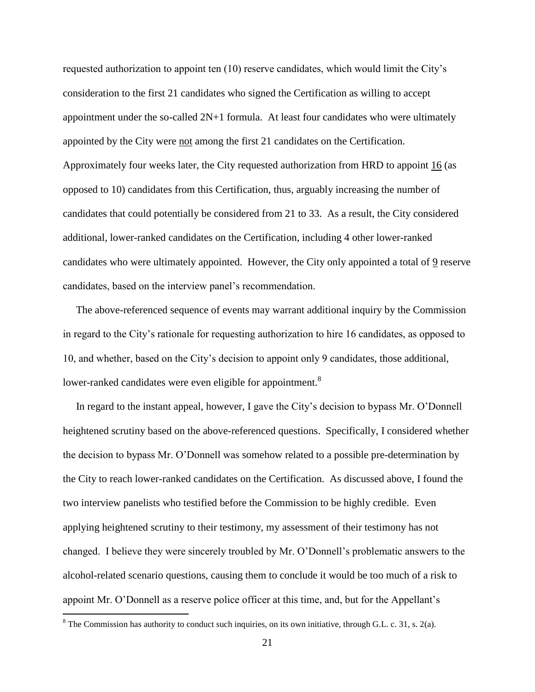requested authorization to appoint ten (10) reserve candidates, which would limit the City's consideration to the first 21 candidates who signed the Certification as willing to accept appointment under the so-called 2N+1 formula. At least four candidates who were ultimately appointed by the City were not among the first 21 candidates on the Certification. Approximately four weeks later, the City requested authorization from HRD to appoint 16 (as opposed to 10) candidates from this Certification, thus, arguably increasing the number of candidates that could potentially be considered from 21 to 33. As a result, the City considered additional, lower-ranked candidates on the Certification, including 4 other lower-ranked candidates who were ultimately appointed. However, the City only appointed a total of 9 reserve candidates, based on the interview panel's recommendation.

 The above-referenced sequence of events may warrant additional inquiry by the Commission in regard to the City's rationale for requesting authorization to hire 16 candidates, as opposed to 10, and whether, based on the City's decision to appoint only 9 candidates, those additional, lower-ranked candidates were even eligible for appointment.<sup>8</sup>

 In regard to the instant appeal, however, I gave the City's decision to bypass Mr. O'Donnell heightened scrutiny based on the above-referenced questions. Specifically, I considered whether the decision to bypass Mr. O'Donnell was somehow related to a possible pre-determination by the City to reach lower-ranked candidates on the Certification. As discussed above, I found the two interview panelists who testified before the Commission to be highly credible. Even applying heightened scrutiny to their testimony, my assessment of their testimony has not changed. I believe they were sincerely troubled by Mr. O'Donnell's problematic answers to the alcohol-related scenario questions, causing them to conclude it would be too much of a risk to appoint Mr. O'Donnell as a reserve police officer at this time, and, but for the Appellant's

 $\overline{a}$ 

 $8$  The Commission has authority to conduct such inquiries, on its own initiative, through G.L. c. 31, s. 2(a).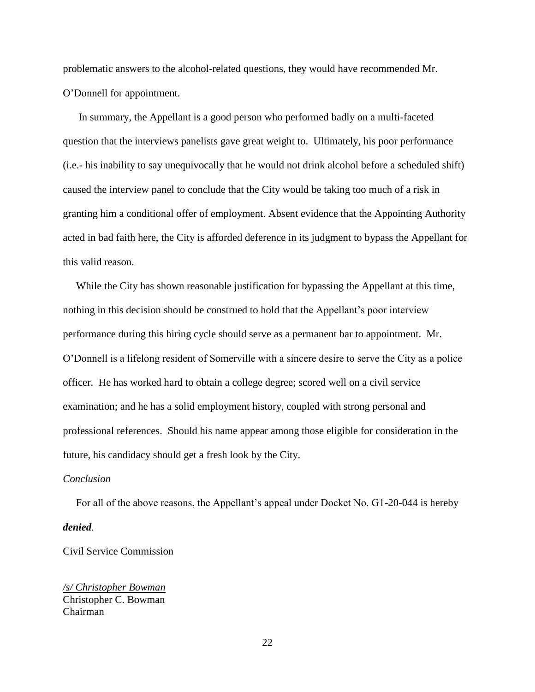problematic answers to the alcohol-related questions, they would have recommended Mr. O'Donnell for appointment.

 In summary, the Appellant is a good person who performed badly on a multi-faceted question that the interviews panelists gave great weight to. Ultimately, his poor performance (i.e.- his inability to say unequivocally that he would not drink alcohol before a scheduled shift) caused the interview panel to conclude that the City would be taking too much of a risk in granting him a conditional offer of employment. Absent evidence that the Appointing Authority acted in bad faith here, the City is afforded deference in its judgment to bypass the Appellant for this valid reason.

 While the City has shown reasonable justification for bypassing the Appellant at this time, nothing in this decision should be construed to hold that the Appellant's poor interview performance during this hiring cycle should serve as a permanent bar to appointment. Mr. O'Donnell is a lifelong resident of Somerville with a sincere desire to serve the City as a police officer. He has worked hard to obtain a college degree; scored well on a civil service examination; and he has a solid employment history, coupled with strong personal and professional references. Should his name appear among those eligible for consideration in the future, his candidacy should get a fresh look by the City.

### *Conclusion*

 For all of the above reasons, the Appellant's appeal under Docket No. G1-20-044 is hereby *denied*.

Civil Service Commission

*/s/ Christopher Bowman* Christopher C. Bowman Chairman